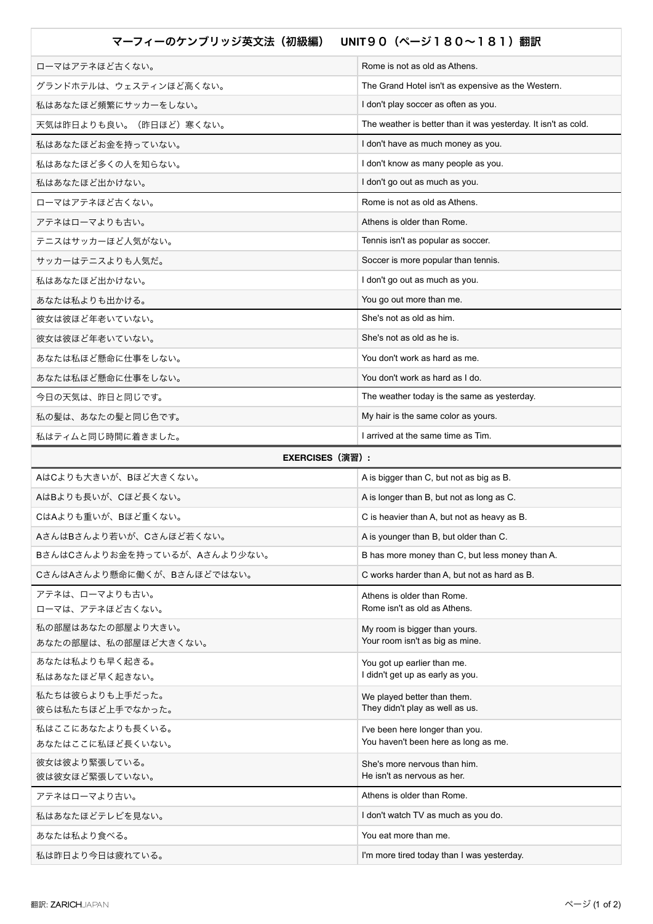| マーフィーのケンブリッジ英文法 (初級編)<br>UNIT90 (ページ180~181) 翻訳 |                                                                         |
|-------------------------------------------------|-------------------------------------------------------------------------|
| ローマはアテネほど古くない。                                  | Rome is not as old as Athens.                                           |
| グランドホテルは、ウェスティンほど高くない。                          | The Grand Hotel isn't as expensive as the Western.                      |
| 私はあなたほど頻繁にサッカーをしない。                             | I don't play soccer as often as you.                                    |
| 天気は昨日よりも良い。(昨日ほど)寒くない。                          | The weather is better than it was yesterday. It isn't as cold.          |
| 私はあなたほどお金を持っていない。                               | I don't have as much money as you.                                      |
| 私はあなたほど多くの人を知らない。                               | I don't know as many people as you.                                     |
| 私はあなたほど出かけない。                                   | I don't go out as much as you.                                          |
| ローマはアテネほど古くない。                                  | Rome is not as old as Athens.                                           |
| アテネはローマよりも古い。                                   | Athens is older than Rome.                                              |
| テニスはサッカーほど人気がない。                                | Tennis isn't as popular as soccer.                                      |
| サッカーはテニスよりも人気だ。                                 | Soccer is more popular than tennis.                                     |
| 私はあなたほど出かけない。                                   | I don't go out as much as you.                                          |
| あなたは私よりも出かける。                                   | You go out more than me.                                                |
| 彼女は彼ほど年老いていない。                                  | She's not as old as him.                                                |
| 彼女は彼ほど年老いていない。                                  | She's not as old as he is.                                              |
| あなたは私ほど懸命に仕事をしない。                               | You don't work as hard as me.                                           |
| あなたは私ほど懸命に仕事をしない。                               | You don't work as hard as I do.                                         |
| 今日の天気は、昨日と同じです。                                 | The weather today is the same as yesterday.                             |
| 私の髪は、あなたの髪と同じ色です。                               | My hair is the same color as yours.                                     |
| 私はティムと同じ時間に着きました。                               | I arrived at the same time as Tim.                                      |
| <b>EXERCISES (演習):</b>                          |                                                                         |
| AはCよりも大きいが、Bほど大きくない。                            |                                                                         |
|                                                 | A is bigger than C, but not as big as B.                                |
| AはBよりも長いが、Cほど長くない。                              | A is longer than B, but not as long as C.                               |
| CはAよりも重いが、Bほど重くない。                              | C is heavier than A, but not as heavy as B.                             |
| AさんはBさんより若いが、Cさんほど若くない。                         | A is younger than B, but older than C.                                  |
| BさんはCさんよりお金を持っているが、Aさんより少ない。                    | B has more money than C, but less money than A.                         |
| CさんはAさんより懸命に働くが、Bさんほどではない。                      | C works harder than A, but not as hard as B.                            |
| アテネは、ローマよりも古い。<br>ローマは、アテネほど古くない。               | Athens is older than Rome.<br>Rome isn't as old as Athens.              |
| 私の部屋はあなたの部屋より大きい。<br>あなたの部屋は、私の部屋ほど大きくない。       | My room is bigger than yours.<br>Your room isn't as big as mine.        |
| あなたは私よりも早く起きる。<br>私はあなたほど早く起きない。                | You got up earlier than me.<br>I didn't get up as early as you.         |
| 私たちは彼らよりも上手だった。<br>彼らは私たちほど上手でなかった。             | We played better than them.<br>They didn't play as well as us.          |
| 私はここにあなたよりも長くいる。<br>あなたはここに私ほど長くいない。            | I've been here longer than you.<br>You haven't been here as long as me. |
| 彼女は彼より緊張している。<br>彼は彼女ほど緊張していない。                 | She's more nervous than him.<br>He isn't as nervous as her.             |
| アテネはローマより古い。                                    | Athens is older than Rome.                                              |
| 私はあなたほどテレビを見ない。                                 | I don't watch TV as much as you do.                                     |
| あなたは私より食べる。                                     | You eat more than me.                                                   |